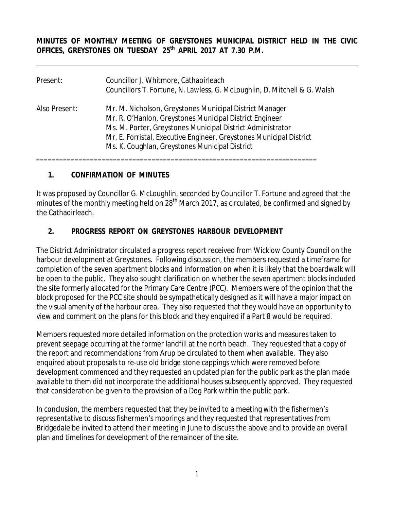**MINUTES OF MONTHLY MEETING OF GREYSTONES MUNICIPAL DISTRICT HELD IN THE CIVIC OFFICES, GREYSTONES ON TUESDAY 25th APRIL 2017 AT 7.30 P.M.** 

| Present:      | Councillor J. Whitmore, Cathaoirleach<br>Councillors T. Fortune, N. Lawless, G. McLoughlin, D. Mitchell & G. Walsh                                                                                                                                                                                        |
|---------------|-----------------------------------------------------------------------------------------------------------------------------------------------------------------------------------------------------------------------------------------------------------------------------------------------------------|
| Also Present: | Mr. M. Nicholson, Greystones Municipal District Manager<br>Mr. R. O'Hanlon, Greystones Municipal District Engineer<br>Ms. M. Porter, Greystones Municipal District Administrator<br>Mr. E. Forristal, Executive Engineer, Greystones Municipal District<br>Ms. K. Coughlan, Greystones Municipal District |

## **1. CONFIRMATION OF MINUTES**

It was proposed by Councillor G. McLoughlin, seconded by Councillor T. Fortune and agreed that the minutes of the monthly meeting held on 28<sup>th</sup> March 2017, as circulated, be confirmed and signed by the Cathaoirleach.

## **2. PROGRESS REPORT ON GREYSTONES HARBOUR DEVELOPMENT**

The District Administrator circulated a progress report received from Wicklow County Council on the harbour development at Greystones. Following discussion, the members requested a timeframe for completion of the seven apartment blocks and information on when it is likely that the boardwalk will be open to the public. They also sought clarification on whether the seven apartment blocks included the site formerly allocated for the Primary Care Centre (PCC). Members were of the opinion that the block proposed for the PCC site should be sympathetically designed as it will have a major impact on the visual amenity of the harbour area. They also requested that they would have an opportunity to view and comment on the plans for this block and they enquired if a Part 8 would be required.

Members requested more detailed information on the protection works and measures taken to prevent seepage occurring at the former landfill at the north beach. They requested that a copy of the report and recommendations from Arup be circulated to them when available. They also enquired about proposals to re-use old bridge stone cappings which were removed before development commenced and they requested an updated plan for the public park as the plan made available to them did not incorporate the additional houses subsequently approved. They requested that consideration be given to the provision of a Dog Park within the public park.

In conclusion, the members requested that they be invited to a meeting with the fishermen's representative to discuss fishermen's moorings and they requested that representatives from Bridgedale be invited to attend their meeting in June to discuss the above and to provide an overall plan and timelines for development of the remainder of the site.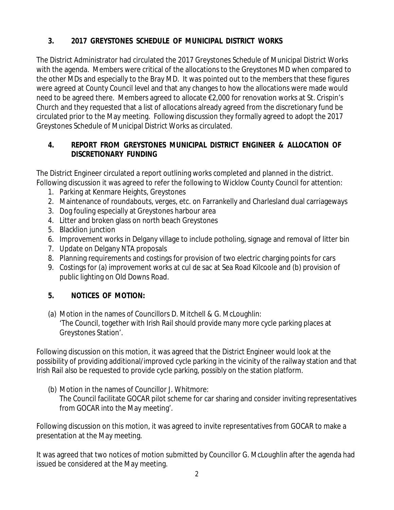# **3. 2017 GREYSTONES SCHEDULE OF MUNICIPAL DISTRICT WORKS**

The District Administrator had circulated the 2017 Greystones Schedule of Municipal District Works with the agenda. Members were critical of the allocations to the Greystones MD when compared to the other MDs and especially to the Bray MD. It was pointed out to the members that these figures were agreed at County Council level and that any changes to how the allocations were made would need to be agreed there. Members agreed to allocate €2,000 for renovation works at St. Crispin's Church and they requested that a list of allocations already agreed from the discretionary fund be circulated prior to the May meeting. Following discussion they formally agreed to adopt the 2017 Greystones Schedule of Municipal District Works as circulated.

# **4. REPORT FROM GREYSTONES MUNICIPAL DISTRICT ENGINEER & ALLOCATION OF DISCRETIONARY FUNDING**

The District Engineer circulated a report outlining works completed and planned in the district. Following discussion it was agreed to refer the following to Wicklow County Council for attention:

- 1. Parking at Kenmare Heights, Greystones
- 2. Maintenance of roundabouts, verges, etc. on Farrankelly and Charlesland dual carriageways
- 3. Dog fouling especially at Greystones harbour area
- 4. Litter and broken glass on north beach Greystones
- 5. Blacklion junction
- 6. Improvement works in Delgany village to include potholing, signage and removal of litter bin
- 7. Update on Delgany NTA proposals
- 8. Planning requirements and costings for provision of two electric charging points for cars
- 9. Costings for (a) improvement works at cul de sac at Sea Road Kilcoole and (b) provision of public lighting on Old Downs Road.

# **5. NOTICES OF MOTION:**

(a) Motion in the names of Councillors D. Mitchell & G. McLoughlin: 'The Council, together with Irish Rail should provide many more cycle parking places at Greystones Station'.

Following discussion on this motion, it was agreed that the District Engineer would look at the possibility of providing additional/improved cycle parking in the vicinity of the railway station and that Irish Rail also be requested to provide cycle parking, possibly on the station platform.

(b) Motion in the names of Councillor J. Whitmore: The Council facilitate GOCAR pilot scheme for car sharing and consider inviting representatives from GOCAR into the May meeting'.

Following discussion on this motion, it was agreed to invite representatives from GOCAR to make a presentation at the May meeting.

It was agreed that two notices of motion submitted by Councillor G. McLoughlin after the agenda had issued be considered at the May meeting.